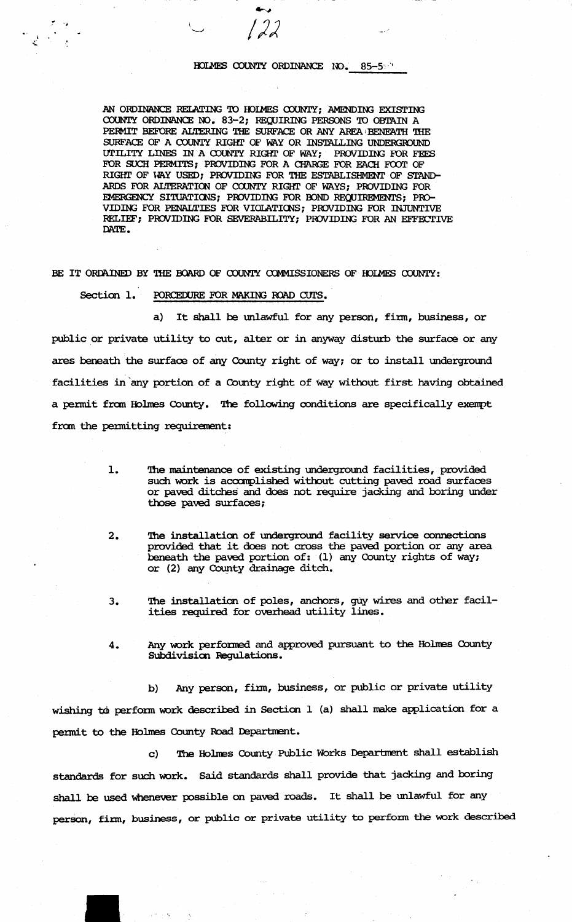# HOLMES COUNTY ORDINANCE NO. 85-5

AN ORDINANCE RELATING TO HOLMES COUNTY; AMENDING EXISTING COUNTY ORDINANCE NO. 83-2; REQUIRING PERSONS TO OBTAIN A PERMIT BEFORE ALTERING THE SURFACE OR ANY AREA BENEATH THE SURFACE OF A COUNTY RIGHT OF WAY OR INSTALLING UNDERGROUND UTILITY LINES IN A COUNTY RIGHT OF WAY; PROVIDING FOR FEES FOR SUCH PERMITS; PROVIDING FOR A CHARGE FOR EACH FOOT OF RIGHT OF WAY USED; PROVIDING FOR THE ESTABLISHMENT OF STAND-ARDS FOR ALTERATION OF COUNTY RIGHT OF WAYS; PROVIDING FOR EMERGENCY SITUATIONS; PROVIDING FOR BOND REQUIREMENTS; PRO-VIDING FOR PENALTIES FOR VIOLATIONS; PROVIDING FOR INJUNTIVE RELIEF; PROVIDING FOR SEVERABILITY; PROVIDING FOR AN EFFECTIVE DATE.

BE IT ORDAINED BY THE BOARD OF COUNTY COMMISSIONERS OF HOLMES COUNTY:

Section 1. PORCEDURE FOR MAKING ROAD CUTS.

a) It shall be unlawful for any person, firm, business, or public or private utility to cut, alter or in anyway disturb the surface or any ares beneath the surface of any County right of way; or to install underground facilities in any portion of a County right of way without first having obtained a permit from Holmes County. The following conditions are specifically exempt from the permitting requirement:

- $\mathbf{1}$ The maintenance of existing underground facilities, provided such work is accomplished without cutting paved road surfaces or paved ditches and does not require jacking and boring under those paved surfaces;
- The installation of underground facility service connections  $2.$ provided that it does not cross the paved portion or any area beneath the paved portion of: (1) any County rights of way; or (2) any County drainage ditch.
- The installation of poles, anchors, guy wires and other facil- $3.$ ities required for overhead utility lines.
- Any work performed and approved pursuant to the Holmes County  $4.$ Subdivision Regulations.

Any person, firm, business, or public or private utility  $b)$ wishing to perform work described in Section 1 (a) shall make application for a permit to the Holmes County Road Department.

The Holmes County Public Works Department shall establish  $\mathbf{C}$ standards for such work. Said standards shall provide that jacking and boring shall be used whenever possible on paved roads. It shall be unlawful for any person, firm, business, or public or private utility to perform the work described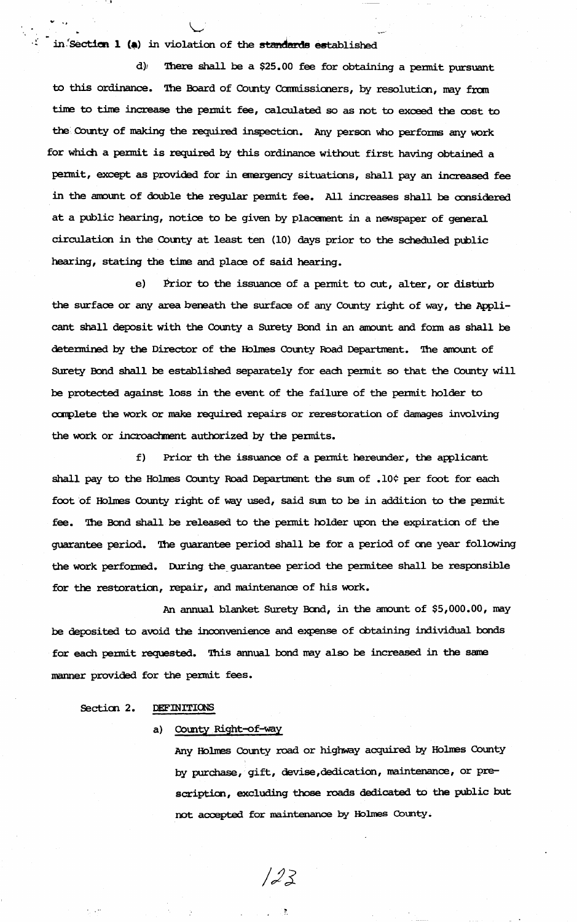in.'Section  $1$  (a) in violation of the standards established

 $\cdot$   $\cdot$   $\cdot$ 

.... ,

d)1 'Ihere shall be a \$25. 00 fee for obtaining a permit pursuant to this ordinance. The Board of County Commissioners, by resolution, may from time to time increase the pennit fee, calculated so as not to exoeed the oost to the County of making the required inspection. Any person who performs any work for which a permit is required by this ordinance without first having obtained a pennit, except as provided for in emergency situations, shall pay an increased fee in the amount of double the regular permit fee. All increases shall be considered at a public hearing, notice to be given by placement in a newspaper of general circulation in the county at least ten (10) days prior to the scheduled public hearing, stating the time and place of said hearing.

e) Prior to the issuance of a pennit to cut, alter, or disturb the surface or any area beneath the surface of any County right of way, the Applicant shall deposit with the County a Surety Bond in an amount and form as shall be determined by the Director of the Holmes County Road Department. The amount of Surety Bond shall be established separately for each permit so that the County will be protected against loss in the event of the failure of the pennit holder to complete the work or make required repairs or rerestoration of damages involving the work or incroachment authorized by the permits.

f) Prior th the issuance of a permit hereunder, the applicant shall pay to the Holmes County Road Department the sum of .10¢ per foot for each foot of Holmes County right of way used, said sum to be in addition to the permit fee. '1he Band shall be released to the pennit holder upon the expiration of the guarantee period. '1he guarantee period shall be for a period of one year following the work performed. During the guarantee period the permitee shall be responsible for the restoration, repair, and maintenance of his work.

An annual blanket Surety Bond, in the amount of \$5,000.00, may be deposited to avoid the inconvenience and expense of obtaining individual bonds for each permit requested. This annual bond may also be increased in the same manner provided for the pennit fees.

 $123$ 

## Section 2. DEFINITIONS

### a) County Right-of-way

'Any Holnes County road or highway acquired by Holnes County by purchase, gift, devise,dedication, maintenance, or prescription, excluding those roads dedicated to the public but not accepted for maintenance by Holmes County.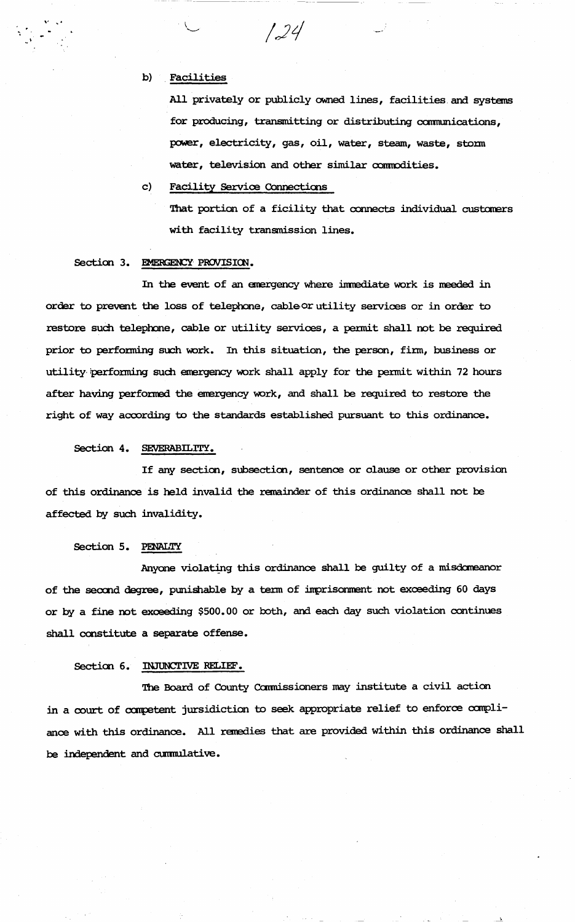b) . Facilities

All privately or publicly owned lines, facilities and systems for producing, transmitting or distributing camumications, power, electricity, gas, oil, water, steam, waste, storm water, television and other similar commodities.

c) Facility Service Connections

That portion of a ficility that connects individual customers with facility transmission lines.

#### Section 3. EMERGENCY PROVISION.

In the event of an emergency where immediate work is meeded in order to prevent the loss of telephone, cableor utility services or in order to restore such telephone, cable or utility services, a permit shall not be required prior to performing such work. In this situation, the person, firm, business or utility performing such emergency work shall apply for the permit within 72 hours after having performed the emergency work, and shall be required to restore the right of way according to the standards established pursuant to this ordinance.

124

Section 4. SEVERABILITY.

If any section, subsection, sentence or olause or other provision of this ordinance is held invalid the remainder of this ordinance shall not be affected by such invalidity.

#### Section 5. PENALTY

Anyone violating this ordinance shall be guilty of a misdomeanor of the second degree, punishable by a term of imprisonment not exceeding 60 days or by a fine not exceeding \$500.00 or both, and each day such violation continues shall constitute a separate offense.

### Section 6. INJUNCTIVE RELIEF.

The Board of County Commissioners may institute a civil action in a court of competent jursidiction to seek appropriate relief to enforce compliance with this ordinance. All remedies that are provided within this ordinance shall be independent and cumnulative.